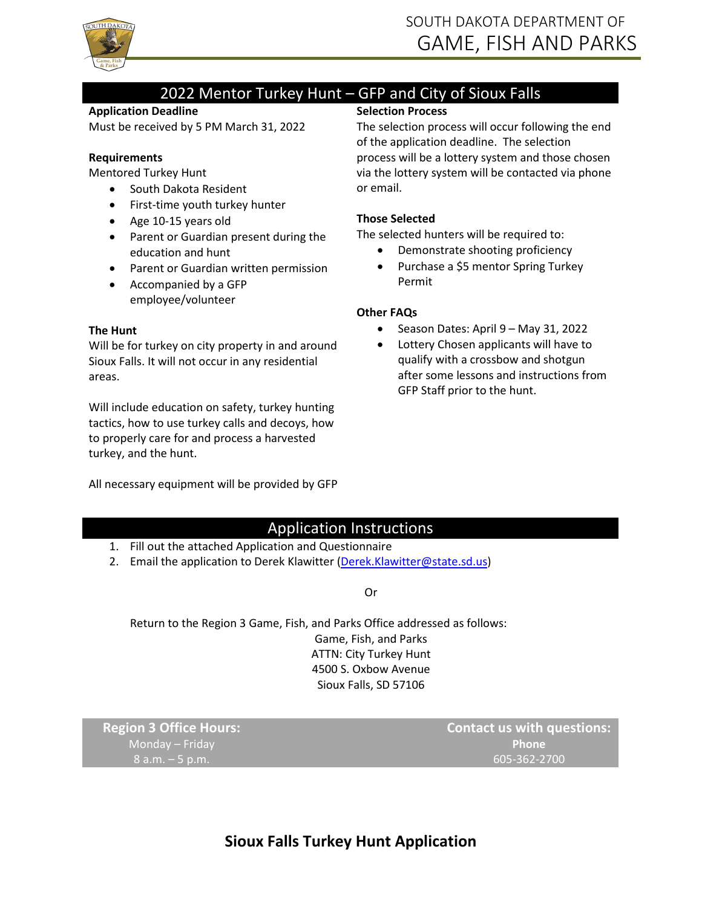

## 2022 Mentor Turkey Hunt – GFP and City of Sioux Falls

#### **Application Deadline**

Must be received by 5 PM March 31, 2022

#### **Requirements**

Mentored Turkey Hunt

- South Dakota Resident
- First-time youth turkey hunter
- Age 10-15 years old
- Parent or Guardian present during the education and hunt
- Parent or Guardian written permission
- Accompanied by a GFP employee/volunteer

#### **The Hunt**

Will be for turkey on city property in and around Sioux Falls. It will not occur in any residential areas.

Will include education on safety, turkey hunting tactics, how to use turkey calls and decoys, how to properly care for and process a harvested turkey, and the hunt.

All necessary equipment will be provided by GFP

### **Selection Process**

The selection process will occur following the end of the application deadline. The selection process will be a lottery system and those chosen via the lottery system will be contacted via phone or email.

#### **Those Selected**

The selected hunters will be required to:

- Demonstrate shooting proficiency
- Purchase a \$5 mentor Spring Turkey Permit

#### **Other FAQs**

- Season Dates: April 9 May 31, 2022
- Lottery Chosen applicants will have to qualify with a crossbow and shotgun after some lessons and instructions from GFP Staff prior to the hunt.

### Application Instructions

- 1. Fill out the attached Application and Questionnaire
- 2. Email the application to Derek Klawitter [\(Derek.Klawitter@state.sd.us\)](mailto:Derek.Klawitter@state.sd.us)

#### Or

Return to the Region 3 Game, Fish, and Parks Office addressed as follows: Game, Fish, and Parks ATTN: City Turkey Hunt 4500 S. Oxbow Avenue Sioux Falls, SD 57106

**Region 3 Office Hours:** Monday – Friday 8 a.m. – 5 p.m.

**Contact us with questions: Phone** 605-362-2700

# **Sioux Falls Turkey Hunt Application**